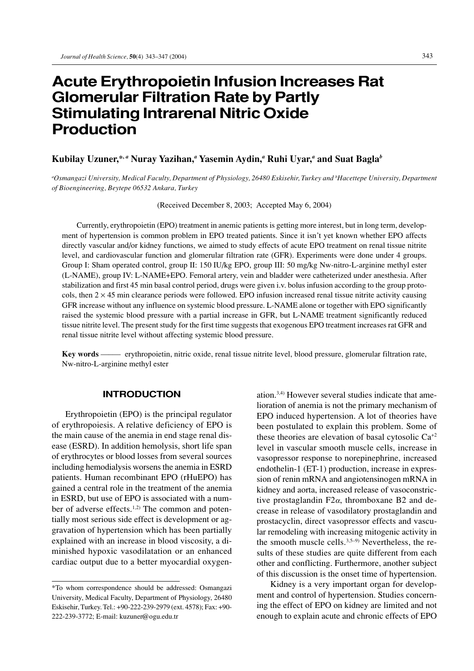# **Acute Erythropoietin Infusion Increases Rat Glomerular Filtration Rate by Partly Stimulating Intrarenal Nitric Oxide Production**

# **Kubilay Uzuner,\*,** *<sup>a</sup>*  **Nuray Yazihan,***<sup>a</sup>*  **Yasemin Aydin,***<sup>a</sup>*  **Ruhi Uyar,***<sup>a</sup>*  **and Suat Bagla***<sup>b</sup>*

*a Osmangazi University, Medical Faculty, Department of Physiology, 26480 Eskisehir, Turkey and b Hacettepe University, Department of Bioengineering, Beytepe 06532 Ankara, Turkey*

(Received December 8, 2003; Accepted May 6, 2004)

Currently, erythropoietin (EPO) treatment in anemic patients is getting more interest, but in long term, development of hypertension is common problem in EPO treated patients. Since it isn't yet known whether EPO affects directly vascular and/or kidney functions, we aimed to study effects of acute EPO treatment on renal tissue nitrite level, and cardiovascular function and glomerular filtration rate (GFR). Experiments were done under 4 groups. Group I: Sham operated control, group II: 150 IU/kg EPO, group III: 50 mg/kg Nw-nitro-L-arginine methyl ester (L-NAME), group IV: L-NAME+EPO. Femoral artery, vein and bladder were catheterized under anesthesia. After stabilization and first 45 min basal control period, drugs were given i.v. bolus infusion according to the group protocols, then  $2 \times 45$  min clearance periods were followed. EPO infusion increased renal tissue nitrite activity causing GFR increase without any influence on systemic blood pressure. L-NAME alone or together with EPO significantly raised the systemic blood pressure with a partial increase in GFR, but L-NAME treatment significantly reduced tissue nitrite level. The present study for the first time suggests that exogenous EPO treatment increases rat GFR and renal tissue nitrite level without affecting systemic blood pressure.

**Key words** —–— erythropoietin, nitric oxide, renal tissue nitrite level, blood pressure, glomerular filtration rate, Nw-nitro-L-arginine methyl ester

# **INTRODUCTION**

Erythropoietin (EPO) is the principal regulator of erythropoiesis. A relative deficiency of EPO is the main cause of the anemia in end stage renal disease (ESRD). In addition hemolysis, short life span of erythrocytes or blood losses from several sources including hemodialysis worsens the anemia in ESRD patients. Human recombinant EPO (rHuEPO) has gained a central role in the treatment of the anemia in ESRD, but use of EPO is associated with a number of adverse effects.<sup>1,2)</sup> The common and potentially most serious side effect is development or aggravation of hypertension which has been partially explained with an increase in blood viscosity, a diminished hypoxic vasodilatation or an enhanced cardiac output due to a better myocardial oxygenation.3,4) However several studies indicate that amelioration of anemia is not the primary mechanism of EPO induced hypertension. A lot of theories have been postulated to explain this problem. Some of these theories are elevation of basal cytosolic Ca+2 level in vascular smooth muscle cells, increase in vasopressor response to norepinephrine, increased endothelin-1 (ET-1) production, increase in expression of renin mRNA and angiotensinogen mRNA in kidney and aorta, increased release of vasoconstrictive prostaglandin F2 $\alpha$ , thromboxane B2 and decrease in release of vasodilatory prostaglandin and prostacyclin, direct vasopressor effects and vascular remodeling with increasing mitogenic activity in the smooth muscle cells. $3,5-9$ ) Nevertheless, the results of these studies are quite different from each other and conflicting. Furthermore, another subject of this discussion is the onset time of hypertension.

Kidney is a very important organ for development and control of hypertension. Studies concerning the effect of EPO on kidney are limited and not enough to explain acute and chronic effects of EPO

<sup>\*</sup>To whom correspondence should be addressed: Osmangazi University, Medical Faculty, Department of Physiology, 26480 Eskisehir, Turkey. Tel.: +90-222-239-2979 (ext. 4578); Fax: +90- 222-239-3772; E-mail: kuzuner@ogu.edu.tr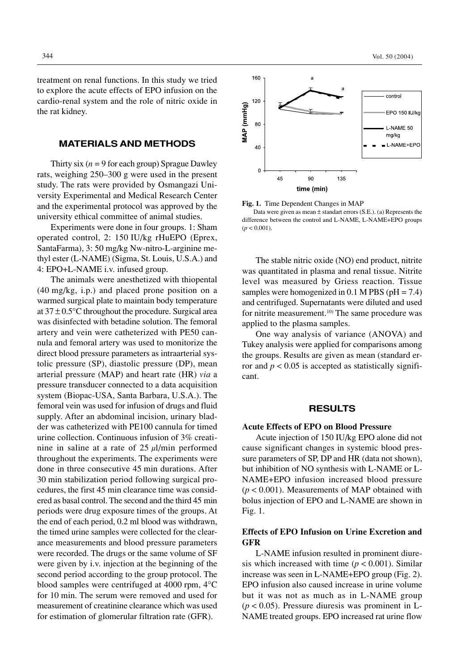treatment on renal functions. In this study we tried to explore the acute effects of EPO infusion on the cardio-renal system and the role of nitric oxide in the rat kidney.

### **MATERIALS AND METHODS**

Thirty six  $(n = 9$  for each group) Sprague Dawley rats, weighing 250–300 g were used in the present study. The rats were provided by Osmangazi University Experimental and Medical Research Center and the experimental protocol was approved by the university ethical committee of animal studies.

Experiments were done in four groups. 1: Sham operated control, 2: 150 IU/kg rHuEPO (Eprex, SantaFarma), 3: 50 mg/kg Nw-nitro-L-arginine methyl ester (L-NAME) (Sigma, St. Louis, U.S.A.) and 4: EPO+L-NAME i.v. infused group.

The animals were anesthetized with thiopental (40 mg/kg, i.p.) and placed prone position on a warmed surgical plate to maintain body temperature at  $37 \pm 0.5$ °C throughout the procedure. Surgical area was disinfected with betadine solution. The femoral artery and vein were catheterized with PE50 cannula and femoral artery was used to monitorize the direct blood pressure parameters as intraarterial systolic pressure (SP), diastolic pressure (DP), mean arterial pressure (MAP) and heart rate (HR) *via* a pressure transducer connected to a data acquisition system (Biopac-USA, Santa Barbara, U.S.A.). The femoral vein was used for infusion of drugs and fluid supply. After an abdominal incision, urinary bladder was catheterized with PE100 cannula for timed urine collection. Continuous infusion of 3% creatinine in saline at a rate of  $25 \mu$ l/min performed throughout the experiments. The experiments were done in three consecutive 45 min durations. After 30 min stabilization period following surgical procedures, the first 45 min clearance time was considered as basal control. The second and the third 45 min periods were drug exposure times of the groups. At the end of each period, 0.2 ml blood was withdrawn, the timed urine samples were collected for the clearance measurements and blood pressure parameters were recorded. The drugs or the same volume of SF were given by i.v. injection at the beginning of the second period according to the group protocol. The blood samples were centrifuged at 4000 rpm, 4°C for 10 min. The serum were removed and used for measurement of creatinine clearance which was used for estimation of glomerular filtration rate (GFR).



**Fig. 1.** Time Dependent Changes in MAP

Data were given as mean  $\pm$  standart errors (S.E.). (a) Represents the difference between the control and L-NAME, L-NAME+EPO groups  $(p < 0.001)$ .

The stable nitric oxide (NO) end product, nitrite was quantitated in plasma and renal tissue. Nitrite level was measured by Griess reaction. Tissue samples were homogenized in 0.1 M PBS ( $pH = 7.4$ ) and centrifuged. Supernatants were diluted and used for nitrite measurement. $10)$  The same procedure was applied to the plasma samples.

One way analysis of variance (ANOVA) and Tukey analysis were applied for comparisons among the groups. Results are given as mean (standard error and  $p < 0.05$  is accepted as statistically significant.

#### **RESULTS**

#### **Acute Effects of EPO on Blood Pressure**

Acute injection of 150 IU/kg EPO alone did not cause significant changes in systemic blood pressure parameters of SP, DP and HR (data not shown), but inhibition of NO synthesis with L-NAME or L-NAME+EPO infusion increased blood pressure (*p* < 0.001). Measurements of MAP obtained with bolus injection of EPO and L-NAME are shown in Fig. 1.

#### **Effects of EPO Infusion on Urine Excretion and GFR**

L-NAME infusion resulted in prominent diuresis which increased with time  $(p < 0.001)$ . Similar increase was seen in L-NAME+EPO group (Fig. 2). EPO infusion also caused increase in urine volume but it was not as much as in L-NAME group  $(p < 0.05)$ . Pressure diuresis was prominent in L-NAME treated groups. EPO increased rat urine flow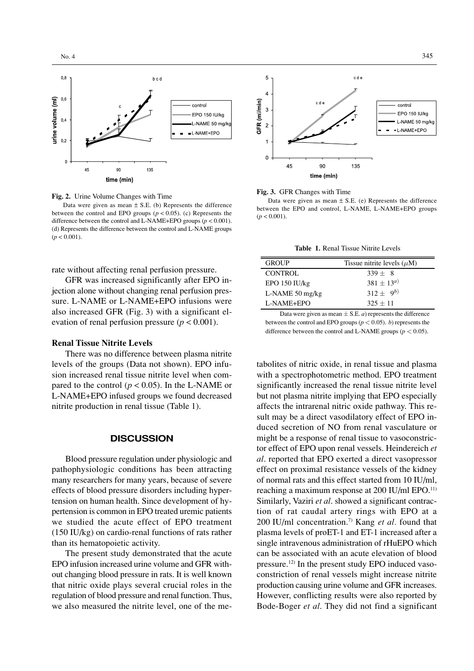

**Fig. 2.** Urine Volume Changes with Time

Data were given as mean  $\pm$  S.E. (b) Represents the difference between the control and EPO groups  $(p < 0.05)$ . (c) Represents the difference between the control and L-NAME+EPO groups ( $p < 0.001$ ). (d) Represents the difference between the control and L-NAME groups  $(p < 0.001)$ .

rate without affecting renal perfusion pressure.

GFR was increased significantly after EPO injection alone without changing renal perfusion pressure. L-NAME or L-NAME+EPO infusions were also increased GFR (Fig. 3) with a significant elevation of renal perfusion pressure  $(p < 0.001)$ .

#### **Renal Tissue Nitrite Levels**

There was no difference between plasma nitrite levels of the groups (Data not shown). EPO infusion increased renal tissue nitrite level when compared to the control ( $p < 0.05$ ). In the L-NAME or L-NAME+EPO infused groups we found decreased nitrite production in renal tissue (Table 1).

#### **DISCUSSION**

Blood pressure regulation under physiologic and pathophysiologic conditions has been attracting many researchers for many years, because of severe effects of blood pressure disorders including hypertension on human health. Since development of hypertension is common in EPO treated uremic patients we studied the acute effect of EPO treatment (150 IU/kg) on cardio-renal functions of rats rather than its hematopoietic activity.

The present study demonstrated that the acute EPO infusion increased urine volume and GFR without changing blood pressure in rats. It is well known that nitric oxide plays several crucial roles in the regulation of blood pressure and renal function. Thus, we also measured the nitrite level, one of the me-



#### **Fig. 3.** GFR Changes with Time

Data were given as mean  $\pm$  S.E. (e) Represents the difference between the EPO and control, L-NAME, L-NAME+EPO groups  $(p < 0.001)$ .

**Table 1.** Renal Tissue Nitrite Levels

| <b>GROUP</b>              | Tissue nitrite levels $(\mu M)$ |
|---------------------------|---------------------------------|
| <b>CONTROL</b>            | $339 + 8$                       |
| $EPO$ 150 IU/kg           | $381 \pm 13^{a}$                |
| L-NAME $50 \text{ mg/kg}$ | $312 \pm 9^{b}$                 |
| L-NAME+EPO                | $325 + 11$                      |
|                           |                                 |

Data were given as mean  $\pm$  S.E. *a*) represents the difference between the control and EPO groups ( $p < 0.05$ ). *b*) represents the difference between the control and L-NAME groups ( $p < 0.05$ ).

tabolites of nitric oxide, in renal tissue and plasma with a spectrophotometric method. EPO treatment significantly increased the renal tissue nitrite level but not plasma nitrite implying that EPO especially affects the intrarenal nitric oxide pathway. This result may be a direct vasodilatory effect of EPO induced secretion of NO from renal vasculature or might be a response of renal tissue to vasoconstrictor effect of EPO upon renal vessels. Heindereich *et al*. reported that EPO exerted a direct vasopressor effect on proximal resistance vessels of the kidney of normal rats and this effect started from 10 IU/ml, reaching a maximum response at 200 IU/ml EPO.11) Similarly, Vaziri *et al*. showed a significant contraction of rat caudal artery rings with EPO at a 200 IU/ml concentration.7) Kang *et al.* found that plasma levels of proET-1 and ET-1 increased after a single intravenous administration of rHuEPO which can be associated with an acute elevation of blood pressure.12) In the present study EPO induced vasoconstriction of renal vessels might increase nitrite production causing urine volume and GFR increases. However, conflicting results were also reported by Bode-Boger *et al*. They did not find a significant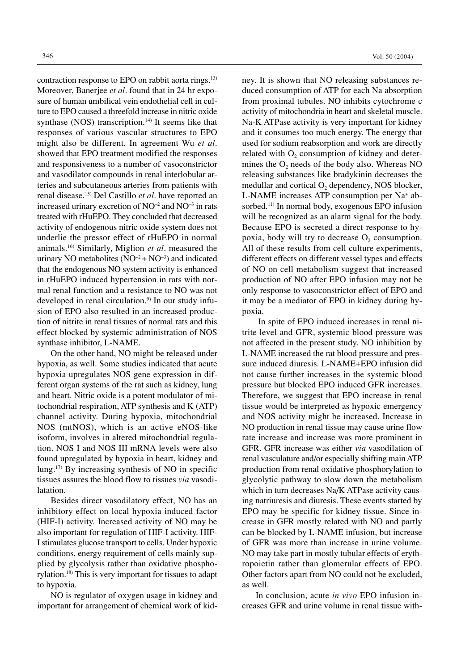contraction response to EPO on rabbit aorta rings.<sup>13)</sup> Moreover, Banerjee *et al*. found that in 24 hr exposure of human umbilical vein endothelial cell in culture to EPO caused a threefold increase in nitric oxide synthase (NOS) transcription.<sup>14)</sup> It seems like that responses of various vascular structures to EPO might also be different. In agreement Wu *et al*. showed that EPO treatment modified the responses and responsiveness to a number of vasoconstrictor and vasodilator compounds in renal interlobular arteries and subcutaneous arteries from patients with renal disease.15) Del Castillo *et al*. have reported an increased urinary excretion of  $NO^{-2}$  and  $NO^{-3}$  in rats treated with rHuEPO. They concluded that decreased activity of endogenous nitric oxide system does not underlie the pressor effect of rHuEPO in normal animals.16) Similarly, Miglion *et al*. measured the urinary NO metabolites  $(NO^{-2} + NO^{-3})$  and indicated that the endogenous NO system activity is enhanced in rHuEPO induced hypertension in rats with normal renal function and a resistance to NO was not developed in renal circulation.<sup>9)</sup> In our study infusion of EPO also resulted in an increased production of nitrite in renal tissues of normal rats and this effect blocked by systemic administration of NOS synthase inhibitor, L-NAME.

On the other hand, NO might be released under hypoxia, as well. Some studies indicated that acute hypoxia upregulates NOS gene expression in different organ systems of the rat such as kidney, lung and heart. Nitric oxide is a potent modulator of mitochondrial respiration, ATP synthesis and K (ATP) channel activity. During hypoxia, mitochondrial NOS (mtNOS), which is an active eNOS-like isoform, involves in altered mitochondrial regulation. NOS I and NOS III mRNA levels were also found upregulated by hypoxia in heart, kidney and lung.17) By increasing synthesis of NO in specific tissues assures the blood flow to tissues *via* vasodilatation.

Besides direct vasodilatory effect, NO has an inhibitory effect on local hypoxia induced factor (HIF-I) activity. Increased activity of NO may be also important for regulation of HIF-I activity. HIF-I stimulates glucose transport to cells. Under hypoxic conditions, energy requirement of cells mainly supplied by glycolysis rather than oxidative phosphorylation.18) This is very important for tissues to adapt to hypoxia.

NO is regulator of oxygen usage in kidney and important for arrangement of chemical work of kidney. It is shown that NO releasing substances reduced consumption of ATP for each Na absorption from proximal tubules. NO inhibits cytochrome c activity of mitochondria in heart and skeletal muscle. Na-K ATPase activity is very important for kidney and it consumes too much energy. The energy that used for sodium reabsorption and work are directly related with  $O<sub>2</sub>$  consumption of kidney and determines the  $O<sub>2</sub>$  needs of the body also. Whereas NO releasing substances like bradykinin decreases the medullar and cortical  $O_2$  dependency, NOS blocker, L-NAME increases ATP consumption per Na+ absorbed.11) In normal body, exogenous EPO infusion will be recognized as an alarm signal for the body. Because EPO is secreted a direct response to hypoxia, body will try to decrease  $O<sub>2</sub>$  consumption. All of these results from cell culture experiments, different effects on different vessel types and effects of NO on cell metabolism suggest that increased production of NO after EPO infusion may not be only response to vasoconstrictor effect of EPO and it may be a mediator of EPO in kidney during hypoxia.

 In spite of EPO induced increases in renal nitrite level and GFR, systemic blood pressure was not affected in the present study. NO inhibition by L-NAME increased the rat blood pressure and pressure induced diuresis. L-NAME+EPO infusion did not cause further increases in the systemic blood pressure but blocked EPO induced GFR increases. Therefore, we suggest that EPO increase in renal tissue would be interpreted as hypoxic emergency and NOS activity might be increased. Increase in NO production in renal tissue may cause urine flow rate increase and increase was more prominent in GFR. GFR increase was either *via* vasodilation of renal vasculature and/or especially shifting main ATP production from renal oxidative phosphorylation to glycolytic pathway to slow down the metabolism which in turn decreases Na/K ATPase activity causing natriuresis and diuresis. These events started by EPO may be specific for kidney tissue. Since increase in GFR mostly related with NO and partly can be blocked by L-NAME infusion, but increase of GFR was more than increase in urine volume. NO may take part in mostly tubular effects of erythropoietin rather than glomerular effects of EPO. Other factors apart from NO could not be excluded, as well.

In conclusion, acute *in vivo* EPO infusion increases GFR and urine volume in renal tissue with